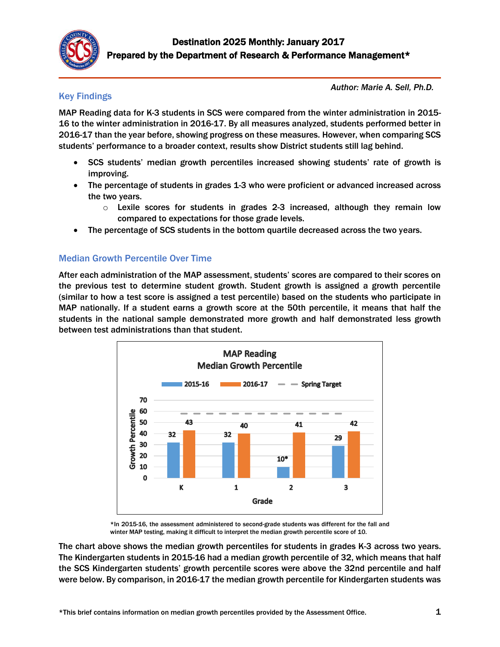

# Key Findings

*Author: Marie A. Sell, Ph.D.*

MAP Reading data for K-3 students in SCS were compared from the winter administration in 2015- 16 to the winter administration in 2016-17. By all measures analyzed, students performed better in 2016-17 than the year before, showing progress on these measures. However, when comparing SCS students' performance to a broader context, results show District students still lag behind.

- SCS students' median growth percentiles increased showing students' rate of growth is improving.
- The percentage of students in grades 1-3 who were proficient or advanced increased across the two years.
	- $\circ$  Lexile scores for students in grades 2-3 increased, although they remain low compared to expectations for those grade levels.
- The percentage of SCS students in the bottom quartile decreased across the two years.

## Median Growth Percentile Over Time

After each administration of the MAP assessment, students' scores are compared to their scores on the previous test to determine student growth. Student growth is assigned a growth percentile (similar to how a test score is assigned a test percentile) based on the students who participate in MAP nationally. If a student earns a growth score at the 50th percentile, it means that half the students in the national sample demonstrated more growth and half demonstrated less growth between test administrations than that student.



\*In 2015-16, the assessment administered to second-grade students was different for the fall and winter MAP testing, making it difficult to interpret the median growth percentile score of 10.

The chart above shows the median growth percentiles for students in grades K-3 across two years. The Kindergarten students in 2015-16 had a median growth percentile of 32, which means that half the SCS Kindergarten students' growth percentile scores were above the 32nd percentile and half were below. By comparison, in 2016-17 the median growth percentile for Kindergarten students was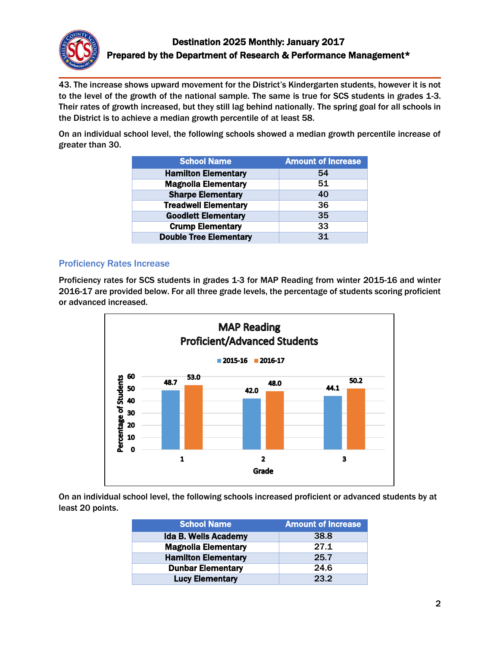

43. The increase shows upward movement for the District's Kindergarten students, however it is not to the level of the growth of the national sample. The same is true for SCS students in grades 1-3. Their rates of growth increased, but they still lag behind nationally. The spring goal for all schools in the District is to achieve a median growth percentile of at least 58.

On an individual school level, the following schools showed a median growth percentile increase of greater than 30.

| <b>School Name</b>            | <b>Amount of Increase</b> |
|-------------------------------|---------------------------|
| <b>Hamilton Elementary</b>    | 54                        |
| <b>Magnolia Elementary</b>    | 51                        |
| <b>Sharpe Elementary</b>      | 40                        |
| <b>Treadwell Elementary</b>   | 36                        |
| <b>Goodlett Elementary</b>    | 35                        |
| <b>Crump Elementary</b>       | 33                        |
| <b>Double Tree Elementary</b> | 31                        |

#### Proficiency Rates Increase

Proficiency rates for SCS students in grades 1-3 for MAP Reading from winter 2015-16 and winter 2016-17 are provided below. For all three grade levels, the percentage of students scoring proficient or advanced increased.



On an individual school level, the following schools increased proficient or advanced students by at least 20 points.

| <b>School Name</b>          | <b>Amount of Increase</b> |
|-----------------------------|---------------------------|
| <b>Ida B. Wells Academy</b> | 38.8                      |
| <b>Magnolia Elementary</b>  | 27.1                      |
| <b>Hamilton Elementary</b>  | 25.7                      |
| <b>Dunbar Elementary</b>    | 24.6                      |
| <b>Lucy Elementary</b>      | 23.2                      |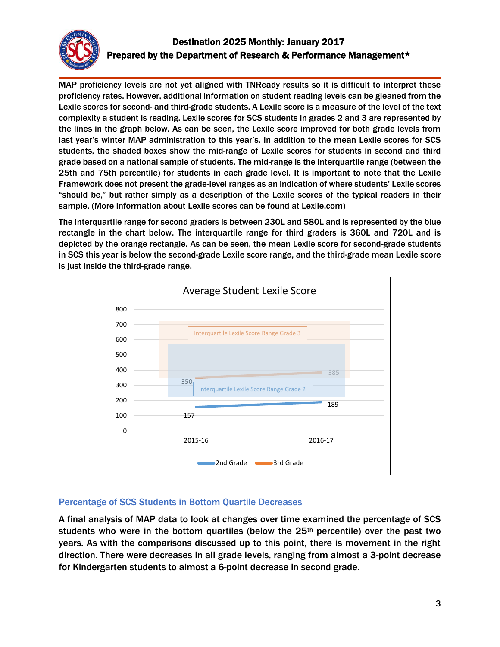

# Destination 2025 Monthly: January 2017 Prepared by the Department of Research & Performance Management\*

MAP proficiency levels are not yet aligned with TNReady results so it is difficult to interpret these proficiency rates. However, additional information on student reading levels can be gleaned from the Lexile scores for second- and third-grade students. A Lexile score is a measure of the level of the text complexity a student is reading. Lexile scores for SCS students in grades 2 and 3 are represented by the lines in the graph below. As can be seen, the Lexile score improved for both grade levels from last year's winter MAP administration to this year's. In addition to the mean Lexile scores for SCS students, the shaded boxes show the mid-range of Lexile scores for students in second and third grade based on a national sample of students. The mid-range is the interquartile range (between the 25th and 75th percentile) for students in each grade level. It is important to note that the Lexile Framework does not present the grade-level ranges as an indication of where students' Lexile scores "should be," but rather simply as a description of the Lexile scores of the typical readers in their sample. (More information about Lexile scores can be found at Lexile.com)

The interquartile range for second graders is between 230L and 580L and is represented by the blue rectangle in the chart below. The interquartile range for third graders is 360L and 720L and is depicted by the orange rectangle. As can be seen, the mean Lexile score for second-grade students in SCS this year is below the second-grade Lexile score range, and the third-grade mean Lexile score is just inside the third-grade range.



## Percentage of SCS Students in Bottom Quartile Decreases

A final analysis of MAP data to look at changes over time examined the percentage of SCS students who were in the bottom quartiles (below the 25<sup>th</sup> percentile) over the past two years. As with the comparisons discussed up to this point, there is movement in the right direction. There were decreases in all grade levels, ranging from almost a 3-point decrease for Kindergarten students to almost a 6-point decrease in second grade.